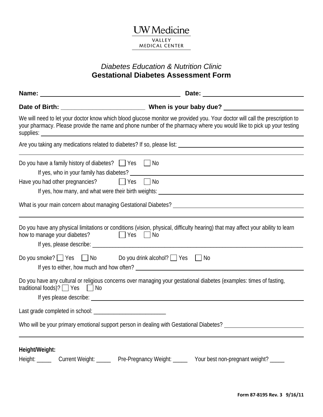## **UW** Medicine VALLEY MEDICAL CENTER

## *Diabetes Education & Nutrition Clinic*  **Gestational Diabetes Assessment Form**

|                                                                                                                        | We will need to let your doctor know which blood glucose monitor we provided you. Your doctor will call the prescription to<br>your pharmacy. Please provide the name and phone number of the pharmacy where you would like to pick up your testing |
|------------------------------------------------------------------------------------------------------------------------|-----------------------------------------------------------------------------------------------------------------------------------------------------------------------------------------------------------------------------------------------------|
|                                                                                                                        |                                                                                                                                                                                                                                                     |
| Do you have a family history of diabetes? $\Box$ Yes $\Box$ No<br>Have you had other pregnancies? $\Box$ Yes $\Box$ No |                                                                                                                                                                                                                                                     |
|                                                                                                                        |                                                                                                                                                                                                                                                     |
| how to manage your diabetes? <u>J</u> Yes In No                                                                        | Do you have any physical limitations or conditions (vision, physical, difficulty hearing) that may affect your ability to learn                                                                                                                     |
| Do you smoke? $\Box$ Yes $\Box$ No Do you drink alcohol? $\Box$ Yes $\Box$ No                                          |                                                                                                                                                                                                                                                     |
| traditional foods)? $\Box$ Yes $\Box$ No                                                                               | Do you have any cultural or religious concerns over managing your gestational diabetes (examples: times of fasting,                                                                                                                                 |
|                                                                                                                        |                                                                                                                                                                                                                                                     |
|                                                                                                                        | Who will be your primary emotional support person in dealing with Gestational Diabetes? ______________________                                                                                                                                      |
| Height/Weight:                                                                                                         | Height: Current Weight: Pre-Pregnancy Weight: _____ Your best non-pregnant weight? ____                                                                                                                                                             |